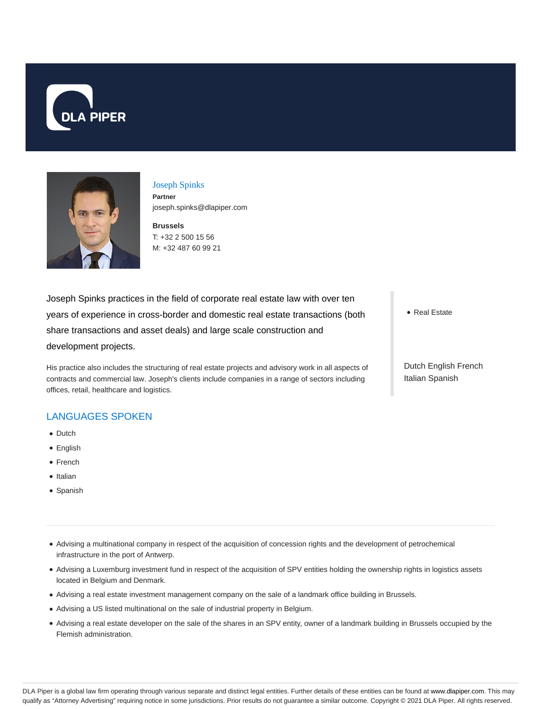



Joseph Spinks **Partner** joseph.spinks@dlapiper.com

**Brussels** T: +32 2 500 15 56 M: +32 487 60 99 21

Joseph Spinks practices in the field of corporate real estate law with over ten years of experience in cross-border and domestic real estate transactions (both share transactions and asset deals) and large scale construction and development projects.

His practice also includes the structuring of real estate projects and advisory work in all aspects of contracts and commercial law. Joseph's clients include companies in a range of sectors including offices, retail, healthcare and logistics.

## LANGUAGES SPOKEN

- Dutch
- English
- French
- Italian
- Spanish
- Advising a multinational company in respect of the acquisition of concession rights and the development of petrochemical infrastructure in the port of Antwerp.
- Advising a Luxemburg investment fund in respect of the acquisition of SPV entities holding the ownership rights in logistics assets located in Belgium and Denmark.
- Advising a real estate investment management company on the sale of a landmark office building in Brussels.
- Advising a US listed multinational on the sale of industrial property in Belgium.
- Advising a real estate developer on the sale of the shares in an SPV entity, owner of a landmark building in Brussels occupied by the Flemish administration.

• Real Estate

Dutch English French Italian Spanish